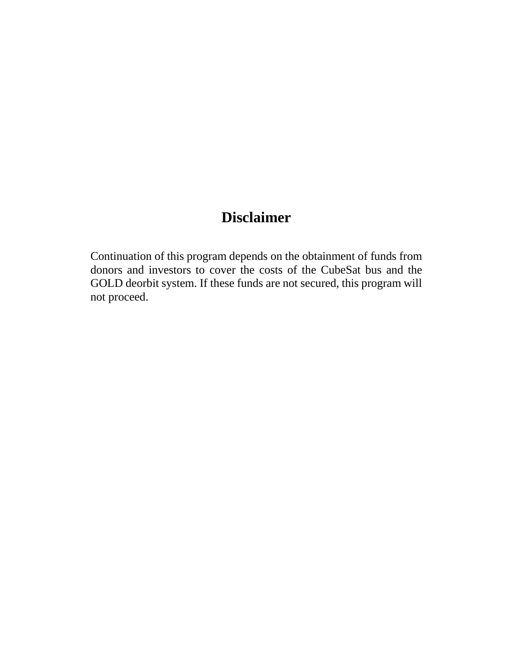## **Disclaimer**

Continuation of this program depends on the obtainment of funds from donors and investors to cover the costs of the CubeSat bus and the GOLD deorbit system. If these funds are not secured, this program will not proceed.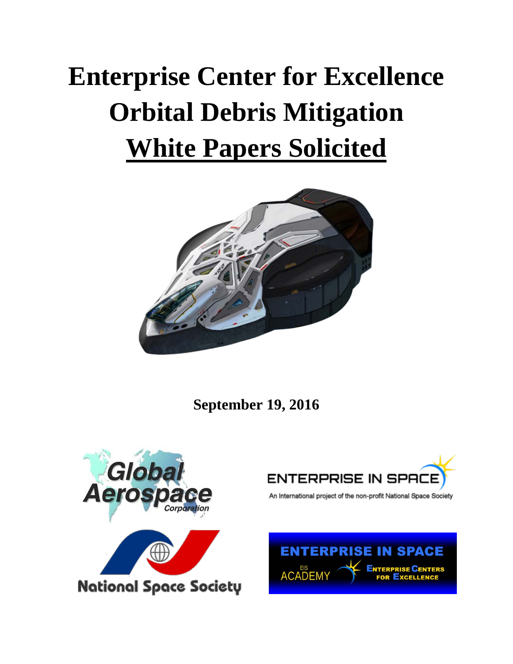# **Enterprise Center for Excellence Orbital Debris Mitigation White Papers Solicited**



**September 19, 2016**





An International project of the non-profit National Space Society

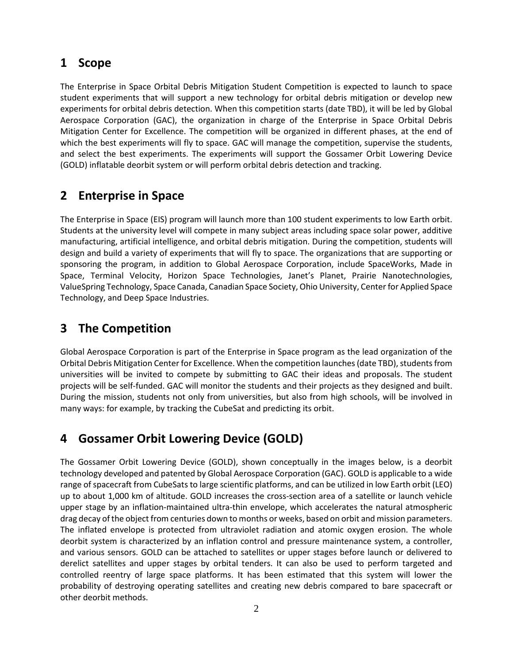#### **1 Scope**

The Enterprise in Space Orbital Debris Mitigation Student Competition is expected to launch to space student experiments that will support a new technology for orbital debris mitigation or develop new experiments for orbital debris detection. When this competition starts (date TBD), it will be led by Global Aerospace Corporation (GAC), the organization in charge of the Enterprise in Space Orbital Debris Mitigation Center for Excellence. The competition will be organized in different phases, at the end of which the best experiments will fly to space. GAC will manage the competition, supervise the students, and select the best experiments. The experiments will support the Gossamer Orbit Lowering Device (GOLD) inflatable deorbit system or will perform orbital debris detection and tracking.

#### **2 Enterprise in Space**

The Enterprise in Space (EIS) program will launch more than 100 student experiments to low Earth orbit. Students at the university level will compete in many subject areas including space solar power, additive manufacturing, artificial intelligence, and orbital debris mitigation. During the competition, students will design and build a variety of experiments that will fly to space. The organizations that are supporting or sponsoring the program, in addition to Global Aerospace Corporation, include SpaceWorks, Made in Space, Terminal Velocity, Horizon Space Technologies, Janet's Planet, Prairie Nanotechnologies, ValueSpring Technology, Space Canada, Canadian Space Society, Ohio University, Center for Applied Space Technology, and Deep Space Industries.

#### **3 The Competition**

Global Aerospace Corporation is part of the Enterprise in Space program as the lead organization of the Orbital Debris Mitigation Center for Excellence. When the competition launches (date TBD), students from universities will be invited to compete by submitting to GAC their ideas and proposals. The student projects will be self-funded. GAC will monitor the students and their projects as they designed and built. During the mission, students not only from universities, but also from high schools, will be involved in many ways: for example, by tracking the CubeSat and predicting its orbit.

#### **4 Gossamer Orbit Lowering Device (GOLD)**

The Gossamer Orbit Lowering Device (GOLD), shown conceptually in the images below, is a deorbit technology developed and patented by Global Aerospace Corporation (GAC). GOLD is applicable to a wide range of spacecraft from CubeSats to large scientific platforms, and can be utilized in low Earth orbit (LEO) up to about 1,000 km of altitude. GOLD increases the cross-section area of a satellite or launch vehicle upper stage by an inflation-maintained ultra-thin envelope, which accelerates the natural atmospheric drag decay of the object from centuries down to months or weeks, based on orbit and mission parameters. The inflated envelope is protected from ultraviolet radiation and atomic oxygen erosion. The whole deorbit system is characterized by an inflation control and pressure maintenance system, a controller, and various sensors. GOLD can be attached to satellites or upper stages before launch or delivered to derelict satellites and upper stages by orbital tenders. It can also be used to perform targeted and controlled reentry of large space platforms. It has been estimated that this system will lower the probability of destroying operating satellites and creating new debris compared to bare spacecraft or other deorbit methods.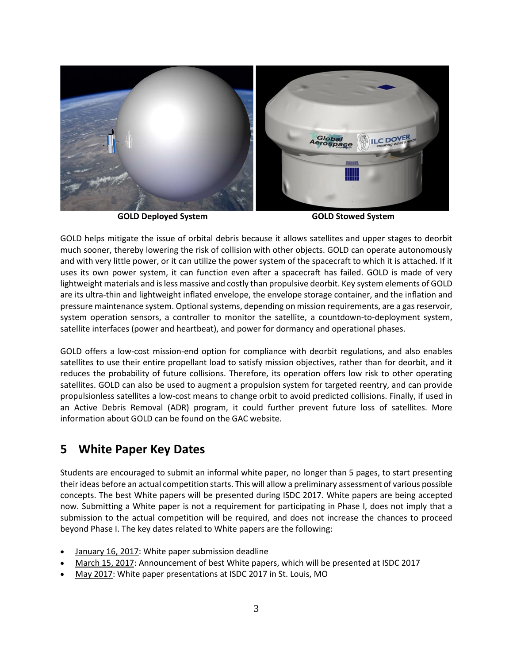

**GOLD Deployed System GOLD Stowed System**

GOLD helps mitigate the issue of orbital debris because it allows satellites and upper stages to deorbit much sooner, thereby lowering the risk of collision with other objects. GOLD can operate autonomously and with very little power, or it can utilize the power system of the spacecraft to which it is attached. If it uses its own power system, it can function even after a spacecraft has failed. GOLD is made of very lightweight materials and is less massive and costly than propulsive deorbit. Key system elements of GOLD are its ultra-thin and lightweight inflated envelope, the envelope storage container, and the inflation and pressure maintenance system. Optional systems, depending on mission requirements, are a gas reservoir, system operation sensors, a controller to monitor the satellite, a countdown-to-deployment system, satellite interfaces (power and heartbeat), and power for dormancy and operational phases.

GOLD offers a low-cost mission-end option for compliance with deorbit regulations, and also enables satellites to use their entire propellant load to satisfy mission objectives, rather than for deorbit, and it reduces the probability of future collisions. Therefore, its operation offers low risk to other operating satellites. GOLD can also be used to augment a propulsion system for targeted reentry, and can provide propulsionless satellites a low-cost means to change orbit to avoid predicted collisions. Finally, if used in an Active Debris Removal (ADR) program, it could further prevent future loss of satellites. More information about GOLD can be found on the [GAC website.](http://www.gaerospace.com/)

## **5 White Paper Key Dates**

Students are encouraged to submit an informal white paper, no longer than 5 pages, to start presenting their ideas before an actual competition starts. This will allow a preliminary assessment of various possible concepts. The best White papers will be presented during ISDC 2017. White papers are being accepted now. Submitting a White paper is not a requirement for participating in Phase I, does not imply that a submission to the actual competition will be required, and does not increase the chances to proceed beyond Phase I. The key dates related to White papers are the following:

- January 16, 2017: White paper submission deadline
- March 15, 2017: Announcement of best White papers, which will be presented at ISDC 2017
- May 2017: White paper presentations at ISDC 2017 in St. Louis, MO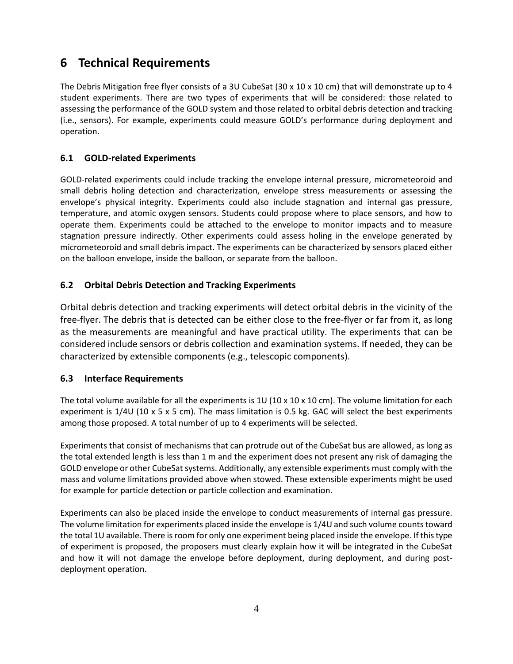## **6 Technical Requirements**

The Debris Mitigation free flyer consists of a 3U CubeSat (30 x 10 x 10 cm) that will demonstrate up to 4 student experiments. There are two types of experiments that will be considered: those related to assessing the performance of the GOLD system and those related to orbital debris detection and tracking (i.e., sensors). For example, experiments could measure GOLD's performance during deployment and operation.

#### **6.1 GOLD-related Experiments**

GOLD-related experiments could include tracking the envelope internal pressure, micrometeoroid and small debris holing detection and characterization, envelope stress measurements or assessing the envelope's physical integrity. Experiments could also include stagnation and internal gas pressure, temperature, and atomic oxygen sensors. Students could propose where to place sensors, and how to operate them. Experiments could be attached to the envelope to monitor impacts and to measure stagnation pressure indirectly. Other experiments could assess holing in the envelope generated by micrometeoroid and small debris impact. The experiments can be characterized by sensors placed either on the balloon envelope, inside the balloon, or separate from the balloon.

#### **6.2 Orbital Debris Detection and Tracking Experiments**

Orbital debris detection and tracking experiments will detect orbital debris in the vicinity of the free-flyer. The debris that is detected can be either close to the free-flyer or far from it, as long as the measurements are meaningful and have practical utility. The experiments that can be considered include sensors or debris collection and examination systems. If needed, they can be characterized by extensible components (e.g., telescopic components).

#### **6.3 Interface Requirements**

The total volume available for all the experiments is  $1U$  (10 x 10 x 10 cm). The volume limitation for each experiment is 1/4U (10 x 5 x 5 cm). The mass limitation is 0.5 kg. GAC will select the best experiments among those proposed. A total number of up to 4 experiments will be selected.

Experiments that consist of mechanisms that can protrude out of the CubeSat bus are allowed, as long as the total extended length is less than 1 m and the experiment does not present any risk of damaging the GOLD envelope or other CubeSat systems. Additionally, any extensible experiments must comply with the mass and volume limitations provided above when stowed. These extensible experiments might be used for example for particle detection or particle collection and examination.

Experiments can also be placed inside the envelope to conduct measurements of internal gas pressure. The volume limitation for experiments placed inside the envelope is 1/4U and such volume counts toward the total 1U available. There is room for only one experiment being placed inside the envelope. If this type of experiment is proposed, the proposers must clearly explain how it will be integrated in the CubeSat and how it will not damage the envelope before deployment, during deployment, and during postdeployment operation.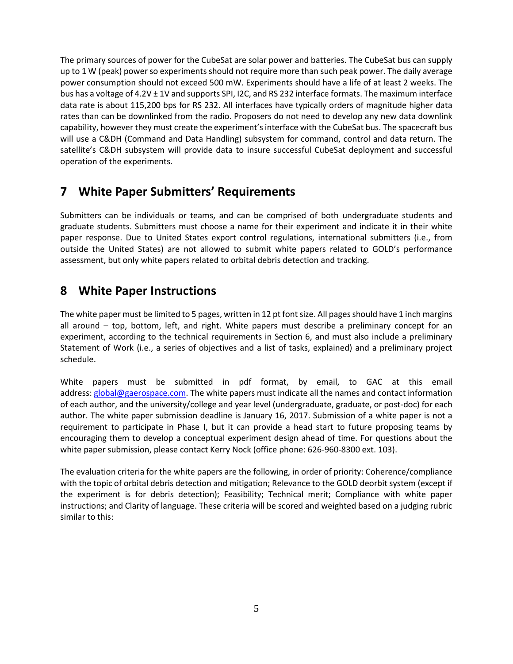The primary sources of power for the CubeSat are solar power and batteries. The CubeSat bus can supply up to 1 W (peak) power so experiments should not require more than such peak power. The daily average power consumption should not exceed 500 mW. Experiments should have a life of at least 2 weeks. The bus has a voltage of 4.2V ± 1V and supports SPI, I2C, and RS 232 interface formats. The maximum interface data rate is about 115,200 bps for RS 232. All interfaces have typically orders of magnitude higher data rates than can be downlinked from the radio. Proposers do not need to develop any new data downlink capability, however they must create the experiment's interface with the CubeSat bus. The spacecraft bus will use a C&DH (Command and Data Handling) subsystem for command, control and data return. The satellite's C&DH subsystem will provide data to insure successful CubeSat deployment and successful operation of the experiments.

## **7 White Paper Submitters' Requirements**

Submitters can be individuals or teams, and can be comprised of both undergraduate students and graduate students. Submitters must choose a name for their experiment and indicate it in their white paper response. Due to United States export control regulations, international submitters (i.e., from outside the United States) are not allowed to submit white papers related to GOLD's performance assessment, but only white papers related to orbital debris detection and tracking.

## **8 White Paper Instructions**

The white paper must be limited to 5 pages, written in 12 pt font size. All pages should have 1 inch margins all around – top, bottom, left, and right. White papers must describe a preliminary concept for an experiment, according to the technical requirements in Section 6, and must also include a preliminary Statement of Work (i.e., a series of objectives and a list of tasks, explained) and a preliminary project schedule.

White papers must be submitted in pdf format, by email, to GAC at this email address: [global@gaerospace.com.](mailto:global@gaerospace.com) The white papers must indicate all the names and contact information of each author, and the university/college and year level (undergraduate, graduate, or post-doc) for each author. The white paper submission deadline is January 16, 2017. Submission of a white paper is not a requirement to participate in Phase I, but it can provide a head start to future proposing teams by encouraging them to develop a conceptual experiment design ahead of time. For questions about the white paper submission, please contact Kerry Nock (office phone: 626-960-8300 ext. 103).

The evaluation criteria for the white papers are the following, in order of priority: Coherence/compliance with the topic of orbital debris detection and mitigation; Relevance to the GOLD deorbit system (except if the experiment is for debris detection); Feasibility; Technical merit; Compliance with white paper instructions; and Clarity of language. These criteria will be scored and weighted based on a judging rubric similar to this: